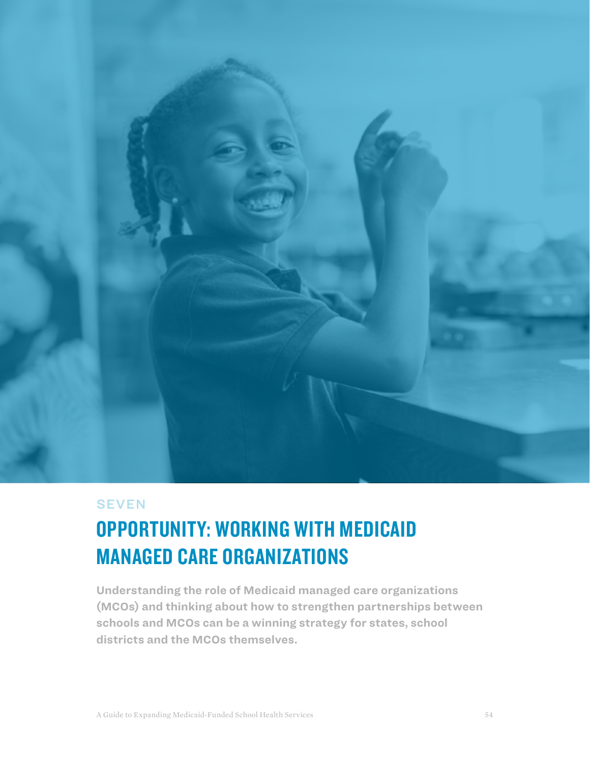

## **SEVEN**

## OPPORTUNITY: WORKING WITH MEDICAID MANAGED CARE ORGANIZATIONS

**Understanding the role of Medicaid managed care organizations (MCOs) and thinking about how to strengthen partnerships between schools and MCOs can be a winning strategy for states, school districts and the MCOs themselves.**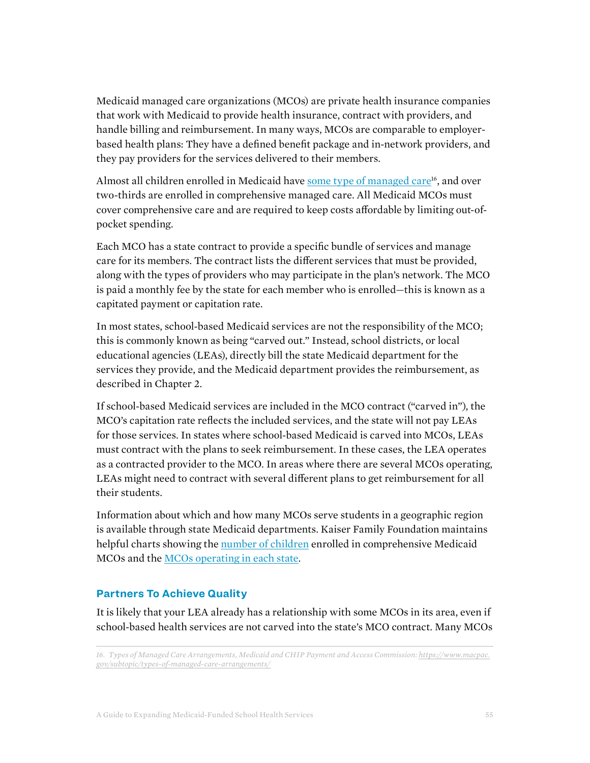Medicaid managed care organizations (MCOs) are private health insurance companies that work with Medicaid to provide health insurance, contract with providers, and handle billing and reimbursement. In many ways, MCOs are comparable to employerbased health plans: They have a defined benefit package and in-network providers, and they pay providers for the services delivered to their members.

Almost all children enrolled in Medicaid have some type of managed care<sup>16</sup>, and over two-thirds are enrolled in comprehensive managed care. All Medicaid MCOs must cover comprehensive care and are required to keep costs affordable by limiting out-ofpocket spending.

Each MCO has a state contract to provide a specific bundle of services and manage care for its members. The contract lists the different services that must be provided, along with the types of providers who may participate in the plan's network. The MCO is paid a monthly fee by the state for each member who is enrolled—this is known as a capitated payment or capitation rate.

In most states, school-based Medicaid services are not the responsibility of the MCO; this is commonly known as being "carved out." Instead, school districts, or local educational agencies (LEAs), directly bill the state Medicaid department for the services they provide, and the Medicaid department provides the reimbursement, as described in Chapter 2.

If school-based Medicaid services are included in the MCO contract ("carved in"), the MCO's capitation rate reflects the included services, and the state will not pay LEAs for those services. In states where school-based Medicaid is carved into MCOs, LEAs must contract with the plans to seek reimbursement. In these cases, the LEA operates as a contracted provider to the MCO. In areas where there are several MCOs operating, LEAs might need to contract with several different plans to get reimbursement for all their students.

Information about which and how many MCOs serve students in a geographic region is available through state Medicaid departments. Kaiser Family Foundation maintains helpful charts showing the [number of children](https://www.kff.org/medicaid/state-indicator/managed-care-penetration-rates-by-eligibility-group) enrolled in comprehensive Medicaid MCOs and the [MCOs operating in each state.](https://www.kff.org/medicaid/state-indicator/medicaid-mco-enrollment-by-plan-and-parent-firm-march-2019/)

## **Partners To Achieve Quality**

It is likely that your LEA already has a relationship with some MCOs in its area, even if school-based health services are not carved into the state's MCO contract. Many MCOs

<sup>16.</sup> Types of Managed Care Arrangements, Medicaid and CHIP Payment and Access Commission: *[https://www.macpac.](https://www.macpac.gov/subtopic/types-of-managed-care-arrangements/) [gov/subtopic/types-of-managed-care-arrangements/](https://www.macpac.gov/subtopic/types-of-managed-care-arrangements/)*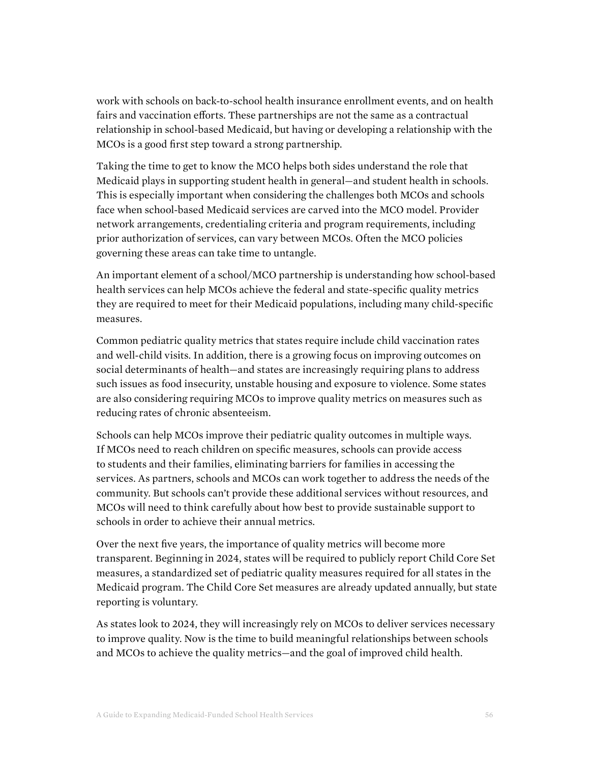work with schools on back-to-school health insurance enrollment events, and on health fairs and vaccination efforts. These partnerships are not the same as a contractual relationship in school-based Medicaid, but having or developing a relationship with the MCOs is a good first step toward a strong partnership.

Taking the time to get to know the MCO helps both sides understand the role that Medicaid plays in supporting student health in general—and student health in schools. This is especially important when considering the challenges both MCOs and schools face when school-based Medicaid services are carved into the MCO model. Provider network arrangements, credentialing criteria and program requirements, including prior authorization of services, can vary between MCOs. Often the MCO policies governing these areas can take time to untangle.

An important element of a school/MCO partnership is understanding how school-based health services can help MCOs achieve the federal and state-specific quality metrics they are required to meet for their Medicaid populations, including many child-specific measures.

Common pediatric quality metrics that states require include child vaccination rates and well-child visits. In addition, there is a growing focus on improving outcomes on social determinants of health—and states are increasingly requiring plans to address such issues as food insecurity, unstable housing and exposure to violence. Some states are also considering requiring MCOs to improve quality metrics on measures such as reducing rates of chronic absenteeism.

Schools can help MCOs improve their pediatric quality outcomes in multiple ways. If MCOs need to reach children on specific measures, schools can provide access to students and their families, eliminating barriers for families in accessing the services. As partners, schools and MCOs can work together to address the needs of the community. But schools can't provide these additional services without resources, and MCOs will need to think carefully about how best to provide sustainable support to schools in order to achieve their annual metrics.

Over the next five years, the importance of quality metrics will become more transparent. Beginning in 2024, states will be required to publicly report Child Core Set measures, a standardized set of pediatric quality measures required for all states in the Medicaid program. The Child Core Set measures are already updated annually, but state reporting is voluntary.

As states look to 2024, they will increasingly rely on MCOs to deliver services necessary to improve quality. Now is the time to build meaningful relationships between schools and MCOs to achieve the quality metrics—and the goal of improved child health.